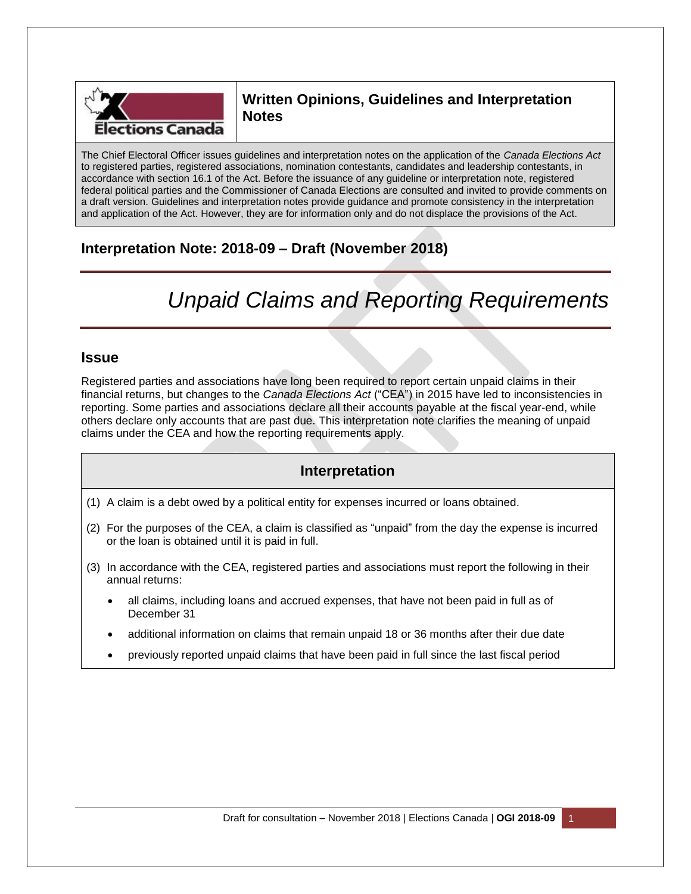

# **Written Opinions, Guidelines and Interpretation Notes**

The Chief Electoral Officer issues guidelines and interpretation notes on the application of the *Canada Elections Act* to registered parties, registered associations, nomination contestants, candidates and leadership contestants, in accordance with section 16.1 of the Act. Before the issuance of any guideline or interpretation note, registered federal political parties and the Commissioner of Canada Elections are consulted and invited to provide comments on a draft version. Guidelines and interpretation notes provide guidance and promote consistency in the interpretation and application of the Act. However, they are for information only and do not displace the provisions of the Act.

# **Interpretation Note: 2018-09 – Draft (November 2018)**

# *Unpaid Claims and Reporting Requirements*

### **Issue**

Registered parties and associations have long been required to report certain unpaid claims in their financial returns, but changes to the *Canada Elections Act* ("CEA") in 2015 have led to inconsistencies in reporting. Some parties and associations declare all their accounts payable at the fiscal year-end, while others declare only accounts that are past due. This interpretation note clarifies the meaning of unpaid claims under the CEA and how the reporting requirements apply.

## **Interpretation**

- (1) A claim is a debt owed by a political entity for expenses incurred or loans obtained.
- (2) For the purposes of the CEA, a claim is classified as "unpaid" from the day the expense is incurred or the loan is obtained until it is paid in full.
- (3) In accordance with the CEA, registered parties and associations must report the following in their annual returns:
	- all claims, including loans and accrued expenses, that have not been paid in full as of December 31
	- additional information on claims that remain unpaid 18 or 36 months after their due date
	- previously reported unpaid claims that have been paid in full since the last fiscal period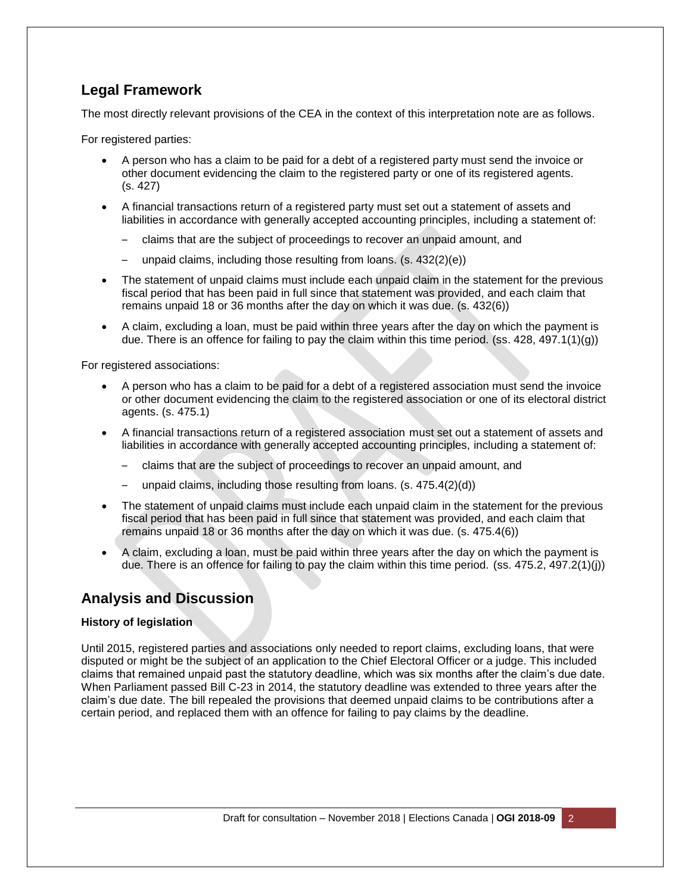## **Legal Framework**

The most directly relevant provisions of the CEA in the context of this interpretation note are as follows.

For registered parties:

- A person who has a claim to be paid for a debt of a registered party must send the invoice or other document evidencing the claim to the registered party or one of its registered agents. (s. 427)
- A financial transactions return of a registered party must set out a statement of assets and liabilities in accordance with generally accepted accounting principles, including a statement of:
	- claims that are the subject of proceedings to recover an unpaid amount, and
	- unpaid claims, including those resulting from loans. (s. 432(2)(e))
- The statement of unpaid claims must include each unpaid claim in the statement for the previous fiscal period that has been paid in full since that statement was provided, and each claim that remains unpaid 18 or 36 months after the day on which it was due. (s. 432(6))
- A claim, excluding a loan, must be paid within three years after the day on which the payment is due. There is an offence for failing to pay the claim within this time period. (ss. 428, 497.1(1)(g))

For registered associations:

- A person who has a claim to be paid for a debt of a registered association must send the invoice or other document evidencing the claim to the registered association or one of its electoral district agents. (s. 475.1)
- A financial transactions return of a registered association must set out a statement of assets and liabilities in accordance with generally accepted accounting principles, including a statement of:
	- claims that are the subject of proceedings to recover an unpaid amount, and
	- unpaid claims, including those resulting from loans. (s. 475.4(2)(d))
- The statement of unpaid claims must include each unpaid claim in the statement for the previous fiscal period that has been paid in full since that statement was provided, and each claim that remains unpaid 18 or 36 months after the day on which it was due. (s. 475.4(6))
- A claim, excluding a loan, must be paid within three years after the day on which the payment is due. There is an offence for failing to pay the claim within this time period. (ss. 475.2, 497.2(1)(j))

## **Analysis and Discussion**

#### **History of legislation**

Until 2015, registered parties and associations only needed to report claims, excluding loans, that were disputed or might be the subject of an application to the Chief Electoral Officer or a judge. This included claims that remained unpaid past the statutory deadline, which was six months after the claim's due date. When Parliament passed Bill C-23 in 2014, the statutory deadline was extended to three years after the claim's due date. The bill repealed the provisions that deemed unpaid claims to be contributions after a certain period, and replaced them with an offence for failing to pay claims by the deadline.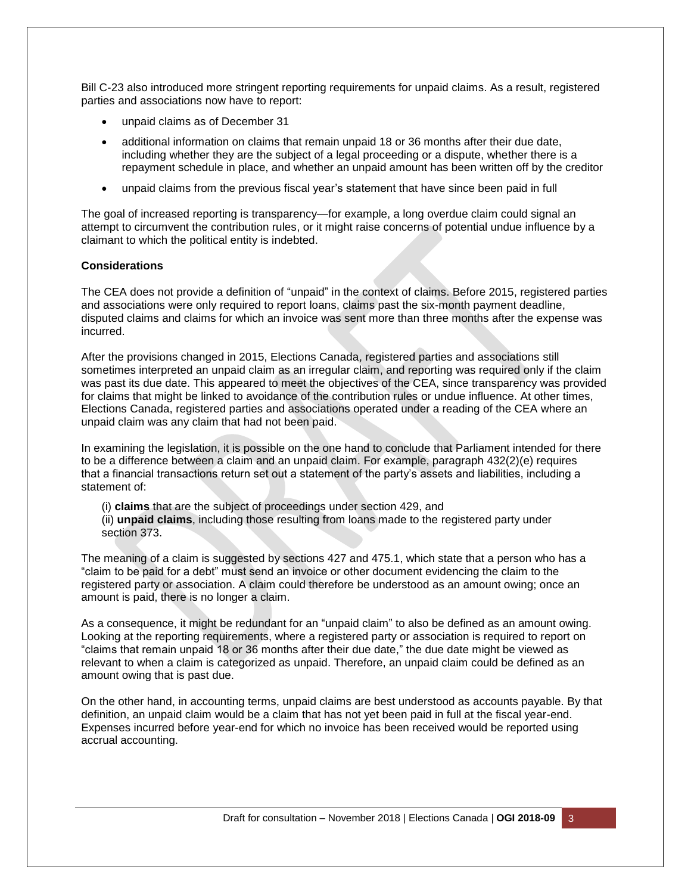Bill C-23 also introduced more stringent reporting requirements for unpaid claims. As a result, registered parties and associations now have to report:

- unpaid claims as of December 31
- additional information on claims that remain unpaid 18 or 36 months after their due date, including whether they are the subject of a legal proceeding or a dispute, whether there is a repayment schedule in place, and whether an unpaid amount has been written off by the creditor
- unpaid claims from the previous fiscal year's statement that have since been paid in full

The goal of increased reporting is transparency—for example, a long overdue claim could signal an attempt to circumvent the contribution rules, or it might raise concerns of potential undue influence by a claimant to which the political entity is indebted.

#### **Considerations**

The CEA does not provide a definition of "unpaid" in the context of claims. Before 2015, registered parties and associations were only required to report loans, claims past the six-month payment deadline, disputed claims and claims for which an invoice was sent more than three months after the expense was incurred.

After the provisions changed in 2015, Elections Canada, registered parties and associations still sometimes interpreted an unpaid claim as an irregular claim, and reporting was required only if the claim was past its due date. This appeared to meet the objectives of the CEA, since transparency was provided for claims that might be linked to avoidance of the contribution rules or undue influence. At other times, Elections Canada, registered parties and associations operated under a reading of the CEA where an unpaid claim was any claim that had not been paid.

In examining the legislation, it is possible on the one hand to conclude that Parliament intended for there to be a difference between a claim and an unpaid claim. For example, paragraph 432(2)(e) requires that a financial transactions return set out a statement of the party's assets and liabilities, including a statement of:

(i) **claims** that are the subject of proceedings under section 429, and (ii) **unpaid claims**, including those resulting from loans made to the registered party under section 373.

The meaning of a claim is suggested by sections 427 and 475.1, which state that a person who has a "claim to be paid for a debt" must send an invoice or other document evidencing the claim to the registered party or association. A claim could therefore be understood as an amount owing; once an amount is paid, there is no longer a claim.

As a consequence, it might be redundant for an "unpaid claim" to also be defined as an amount owing. Looking at the reporting requirements, where a registered party or association is required to report on "claims that remain unpaid 18 or 36 months after their due date," the due date might be viewed as relevant to when a claim is categorized as unpaid. Therefore, an unpaid claim could be defined as an amount owing that is past due.

On the other hand, in accounting terms, unpaid claims are best understood as accounts payable. By that definition, an unpaid claim would be a claim that has not yet been paid in full at the fiscal year-end. Expenses incurred before year-end for which no invoice has been received would be reported using accrual accounting.